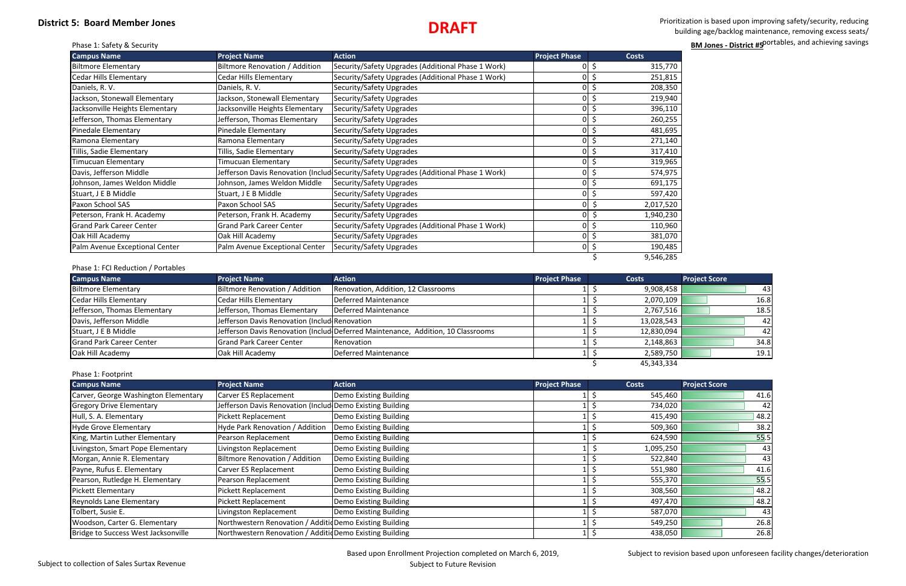## **District 5: Board Member Jones**

 Prioritization is based upon improving safety/security, reducing building age/backlog maintenance, removing excess seats/ portables, and achieving savings **BM Jones - District #5** and achieving savings **BM Jones - District #5** and achieving savings

| 770                       |  |
|---------------------------|--|
| 815                       |  |
| $\frac{1}{350}$           |  |
| $9\overline{40}$          |  |
| 110                       |  |
| 255                       |  |
| 695                       |  |
| 140                       |  |
| 410                       |  |
| 965                       |  |
| 97!<br>5                  |  |
| $\overline{1}$<br>75<br>5 |  |
| 420                       |  |
| $\overline{520}$          |  |
| 230                       |  |
| 960                       |  |
| 070                       |  |
| 485                       |  |
| $\overline{285}$          |  |
|                           |  |

## **DRAFT**

| <b>Campus Name</b>              | <b>Project Name</b>             | <b>Action</b>                                                                         | <b>Project Phase</b> |     | <b>Costs</b> |
|---------------------------------|---------------------------------|---------------------------------------------------------------------------------------|----------------------|-----|--------------|
| <b>Biltmore Elementary</b>      | Biltmore Renovation / Addition  | Security/Safety Upgrades (Additional Phase 1 Work)                                    | ΩI                   |     | 315,770      |
| <b>Cedar Hills Elementary</b>   | Cedar Hills Elementary          | Security/Safety Upgrades (Additional Phase 1 Work)                                    |                      |     | 251,815      |
| Daniels, R.V.                   | Daniels, R. V.                  | Security/Safety Upgrades                                                              |                      |     | 208,350      |
| Jackson, Stonewall Elementary   | Jackson, Stonewall Elementary   | Security/Safety Upgrades                                                              |                      |     | 219,940      |
| Jacksonville Heights Elementary | Jacksonville Heights Elementary | Security/Safety Upgrades                                                              |                      | \$  | 396,110      |
| Jefferson, Thomas Elementary    | Jefferson, Thomas Elementary    | Security/Safety Upgrades                                                              | ΩI                   |     | 260,255      |
| Pinedale Elementary             | Pinedale Elementary             | Security/Safety Upgrades                                                              | $\overline{O}$       | \$  | 481,695      |
| Ramona Elementary               | Ramona Elementary               | Security/Safety Upgrades                                                              | ΟI                   | \$  | 271,140      |
| Tillis, Sadie Elementary        | Tillis, Sadie Elementary        | Security/Safety Upgrades                                                              |                      | \$  | 317,410      |
| Timucuan Elementary             | Timucuan Elementary             | Security/Safety Upgrades                                                              | ΩI                   |     | 319,965      |
| Davis, Jefferson Middle         |                                 | Jefferson Davis Renovation (Includ Security/Safety Upgrades (Additional Phase 1 Work) |                      |     | 574,975      |
| Johnson, James Weldon Middle    | Johnson, James Weldon Middle    | Security/Safety Upgrades                                                              |                      |     | 691,175      |
| Stuart, J E B Middle            | Stuart, J E B Middle            | Security/Safety Upgrades                                                              |                      | \$  | 597,420      |
| Paxon School SAS                | Paxon School SAS                | Security/Safety Upgrades                                                              | ΩI                   | \$, | 2,017,520    |
| Peterson, Frank H. Academy      | Peterson, Frank H. Academy      | Security/Safety Upgrades                                                              |                      | \$  | 1,940,230    |
| <b>Grand Park Career Center</b> | <b>Grand Park Career Center</b> | Security/Safety Upgrades (Additional Phase 1 Work)                                    | ٥I                   | \$  | 110,960      |
| Oak Hill Academy                | Oak Hill Academy                | Security/Safety Upgrades                                                              |                      | \$  | 381,070      |
| Palm Avenue Exceptional Center  | Palm Avenue Exceptional Center  | Security/Safety Upgrades                                                              | ΟI                   | \$  | 190,485      |
|                                 |                                 |                                                                                       |                      |     | 9,546,285    |

### Phase 1: FCI Reduction / Portables

| <b>Campus Name</b>              | <b>Project Name</b>                           | <b>Action</b>                                                                    | <b>Project Phase</b> | <b>Costs</b> | <b>Project Score</b> |
|---------------------------------|-----------------------------------------------|----------------------------------------------------------------------------------|----------------------|--------------|----------------------|
| Biltmore Elementary             | Biltmore Renovation / Addition                | Renovation, Addition, 12 Classrooms                                              |                      | 9,908,458    | 431                  |
| Cedar Hills Elementary          | Cedar Hills Elementary                        | Deferred Maintenance                                                             |                      | 2,070,109    | 16.8                 |
| Jefferson, Thomas Elementary    | Jefferson, Thomas Elementary                  | <b>Deferred Maintenance</b>                                                      |                      | 2,767,516    | 18.5                 |
| Davis, Jefferson Middle         | Jefferson Davis Renovation (Includ Renovation |                                                                                  |                      | 13,028,543   | 421                  |
| Stuart, J E B Middle            |                                               | Jefferson Davis Renovation (Includ Deferred Maintenance, Addition, 10 Classrooms |                      | 12,830,094   | 421                  |
| <b>Grand Park Career Center</b> | <b>Grand Park Career Center</b>               | Renovation                                                                       |                      | 2,148,863    | 34.8                 |
| Oak Hill Academy                | Oak Hill Academy                              | Deferred Maintenance                                                             |                      | 2,589,750    | 19.1                 |
|                                 |                                               |                                                                                  |                      | 45,343,334   |                      |

## Phase 1: Footprint

| <b>Campus Name</b>                   | <b>Project Name</b>                                       | <b>Action</b>          | <b>Project Phase</b> | <b>Costs</b> | <b>Project Score</b> |
|--------------------------------------|-----------------------------------------------------------|------------------------|----------------------|--------------|----------------------|
| Carver, George Washington Elementary | Carver ES Replacement                                     | Demo Existing Building |                      | 545,460      | 41.6                 |
| <b>Gregory Drive Elementary</b>      | Jefferson Davis Renovation (Includ Demo Existing Building |                        |                      | 734,020      | 42                   |
| Hull, S. A. Elementary               | Pickett Replacement                                       | Demo Existing Building |                      | 415,490      | 48.2                 |
| Hyde Grove Elementary                | Hyde Park Renovation / Addition                           | Demo Existing Building |                      | 509,360      | 38.2                 |
| King, Martin Luther Elementary       | Pearson Replacement                                       | Demo Existing Building |                      | 624,590      | 55.5                 |
| Livingston, Smart Pope Elementary    | Livingston Replacement                                    | Demo Existing Building |                      | 1,095,250    | 43                   |
| Morgan, Annie R. Elementary          | Biltmore Renovation / Addition                            | Demo Existing Building |                      | 522,840      | 43                   |
| Payne, Rufus E. Elementary           | Carver ES Replacement                                     | Demo Existing Building |                      | 551,980      | 41.6                 |
| Pearson, Rutledge H. Elementary      | Pearson Replacement                                       | Demo Existing Building |                      | 555,370      | 55.5                 |
| Pickett Elementary                   | Pickett Replacement                                       | Demo Existing Building |                      | 308,560      | 48.2                 |
| <b>Reynolds Lane Elementary</b>      | Pickett Replacement                                       | Demo Existing Building |                      | 497,470      | 48.2                 |
| Tolbert, Susie E.                    | Livingston Replacement                                    | Demo Existing Building |                      | 587,070      | 43                   |
| Woodson, Carter G. Elementary        | Northwestern Renovation / Additid Demo Existing Building  |                        |                      | 549,250      | 26.8                 |
| Bridge to Success West Jacksonville  | Northwestern Renovation / AdditidDemo Existing Building   |                        |                      | 438,050      | 26.8                 |

Subject to revision based upon unforeseen facility changes/deterioration